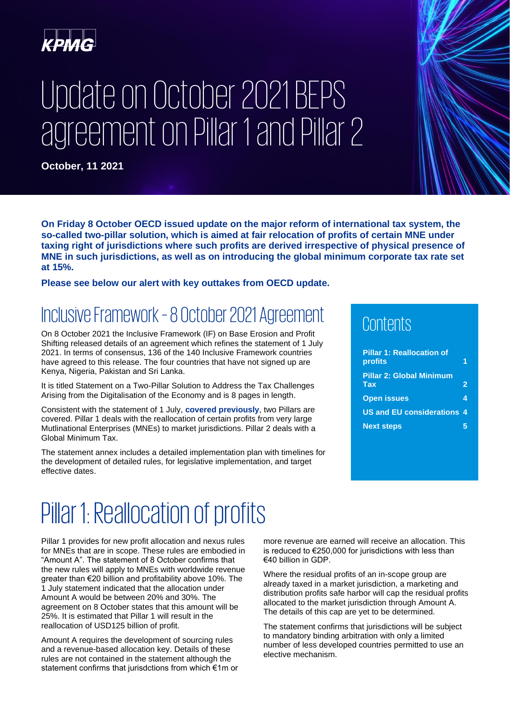

# Update on October 2021 BEPS agreement on Pillar 1 and Pillar 2

**October, 11 2021**

**On Friday 8 October OECD issued update on the major reform of international tax system, the so-called two-pillar solution, which is aimed at fair relocation of profits of certain MNE under taxing right of jurisdictions where such profits are derived irrespective of physical presence of MNE in such jurisdictions, as well as on introducing the global minimum corporate tax rate set at 15%.**

**Please see below our alert with key outtakes from OECD update.**

### Inclusive Framework –8 October 2021 Agreement

On 8 October 2021 the Inclusive Framework (IF) on Base Erosion and Profit Shifting released details of an agreement which refines the statement of 1 July 2021. In terms of consensus, 136 of the 140 Inclusive Framework countries have agreed to this release. The four countries that have not signed up are Kenya, Nigeria, Pakistan and Sri Lanka.

It is titled Statement on a Two-Pillar Solution to Address the Tax Challenges Arising from the Digitalisation of the Economy and is 8 pages in length.

Consistent with the statement of 1 July, **[covered previously](https://urldefense.com/v3/__https:/home.kpmg/xx/en/home/insights/2021/06/tax-policy-perpectives.html__;!!E1R1dd1bLLODlQ4!VxEY_QIEKWoLMPAGrhaSpZlEVuybyjuiGycKg_uTpsgfOc8aSfxq-M4ob-pa3W_X$)**, two Pillars are covered. Pillar 1 deals with the reallocation of certain profits from very large Mutlinational Enterprises (MNEs) to market jurisdictions. Pillar 2 deals with a Global Minimum Tax.

The statement annex includes a detailed implementation plan with timelines for the development of detailed rules, for legislative implementation, and target effective dates.

### Contents

| <b>Pillar 1: Reallocation of</b><br>profits    |   |
|------------------------------------------------|---|
| <b>Pillar 2: Global Minimum</b><br>Ta <b>x</b> | 2 |
| <b>Open issues</b>                             | 4 |
| <b>US and EU considerations 4</b>              |   |
| <b>Next steps</b>                              |   |

### <span id="page-0-0"></span>Pillar 1: Reallocation of profits

Pillar 1 provides for new profit allocation and nexus rules for MNEs that are in scope. These rules are embodied in "Amount A". The statement of 8 October confirms that the new rules will apply to MNEs with worldwide revenue greater than €20 billion and profitability above 10%. The 1 July statement indicated that the allocation under Amount A would be between 20% and 30%. The agreement on 8 October states that this amount will be 25%. It is estimated that Pillar 1 will result in the reallocation of USD125 billion of profit.

Amount A requires the development of sourcing rules and a revenue-based allocation key. Details of these rules are not contained in the statement although the statement confirms that jurisdctions from which €1m or

more revenue are earned will receive an allocation. This is reduced to €250,000 for jurisdictions with less than €40 billion in GDP.

Where the residual profits of an in-scope group are already taxed in a market jurisdiction, a marketing and distribution profits safe harbor will cap the residual profits allocated to the market jurisdiction through Amount A. The details of this cap are yet to be determined.

The statement confirms that jurisdictions will be subject to mandatory binding arbitration with only a limited number of less developed countries permitted to use an elective mechanism.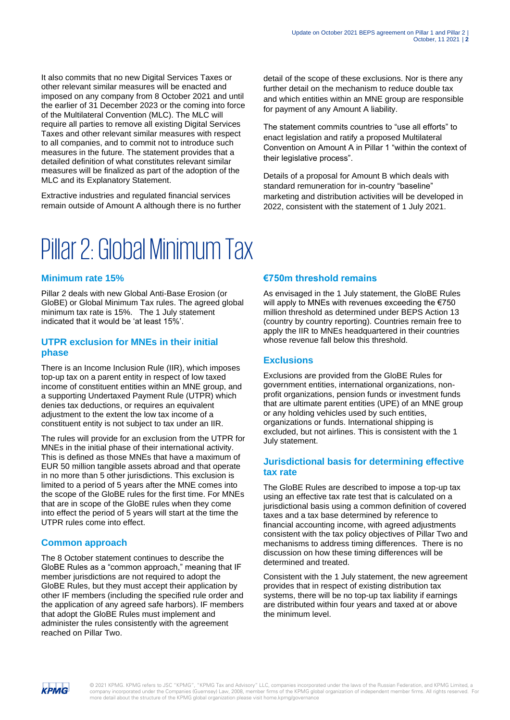It also commits that no new Digital Services Taxes or other relevant similar measures will be enacted and imposed on any company from 8 October 2021 and until the earlier of 31 December 2023 or the coming into force of the Multilateral Convention (MLC). The MLC will require all parties to remove all existing Digital Services Taxes and other relevant similar measures with respect to all companies, and to commit not to introduce such measures in the future. The statement provides that a detailed definition of what constitutes relevant similar measures will be finalized as part of the adoption of the MLC and its Explanatory Statement.

Extractive industries and regulated financial services remain outside of Amount A although there is no further

detail of the scope of these exclusions. Nor is there any further detail on the mechanism to reduce double tax and which entities within an MNE group are responsible for payment of any Amount A liability.

The statement commits countries to "use all efforts" to enact legislation and ratify a proposed Multilateral Convention on Amount A in Pillar 1 "within the context of their legislative process".

Details of a proposal for Amount B which deals with standard remuneration for in-country "baseline" marketing and distribution activities will be developed in 2022, consistent with the statement of 1 July 2021.

## <span id="page-1-0"></span>Pillar 2: Global Minimum Tax

#### **Minimum rate 15%**

Pillar 2 deals with new Global Anti-Base Erosion (or GloBE) or Global Minimum Tax rules. The agreed global minimum tax rate is 15%. The 1 July statement indicated that it would be 'at least 15%'.

#### **UTPR exclusion for MNEs in their initial phase**

There is an Income Inclusion Rule (IIR), which imposes top-up tax on a parent entity in respect of low taxed income of constituent entities within an MNE group, and a supporting Undertaxed Payment Rule (UTPR) which denies tax deductions, or requires an equivalent adjustment to the extent the low tax income of a constituent entity is not subject to tax under an IIR.

The rules will provide for an exclusion from the UTPR for MNEs in the initial phase of their international activity. This is defined as those MNEs that have a maximum of EUR 50 million tangible assets abroad and that operate in no more than 5 other jurisdictions. This exclusion is limited to a period of 5 years after the MNE comes into the scope of the GloBE rules for the first time. For MNEs that are in scope of the GloBE rules when they come into effect the period of 5 years will start at the time the UTPR rules come into effect.

#### **Common approach**

The 8 October statement continues to describe the GloBE Rules as a "common approach," meaning that IF member jurisdictions are not required to adopt the GloBE Rules, but they must accept their application by other IF members (including the specified rule order and the application of any agreed safe harbors). IF members that adopt the GloBE Rules must implement and administer the rules consistently with the agreement reached on Pillar Two.

#### **€750m threshold remains**

As envisaged in the 1 July statement, the GloBE Rules will apply to MNEs with revenues exceeding the €750 million threshold as determined under BEPS Action 13 (country by country reporting). Countries remain free to apply the IIR to MNEs headquartered in their countries whose revenue fall below this threshold.

#### **Exclusions**

Exclusions are provided from the GloBE Rules for government entities, international organizations, nonprofit organizations, pension funds or investment funds that are ultimate parent entities (UPE) of an MNE group or any holding vehicles used by such entities, organizations or funds. International shipping is excluded, but not airlines. This is consistent with the 1 July statement.

#### **Jurisdictional basis for determining effective tax rate**

The GloBE Rules are described to impose a top-up tax using an effective tax rate test that is calculated on a jurisdictional basis using a common definition of covered taxes and a tax base determined by reference to financial accounting income, with agreed adjustments consistent with the tax policy objectives of Pillar Two and mechanisms to address timing differences. There is no discussion on how these timing differences will be determined and treated.

Consistent with the 1 July statement, the new agreement provides that in respect of existing distribution tax systems, there will be no top-up tax liability if earnings are distributed within four years and taxed at or above the minimum level.

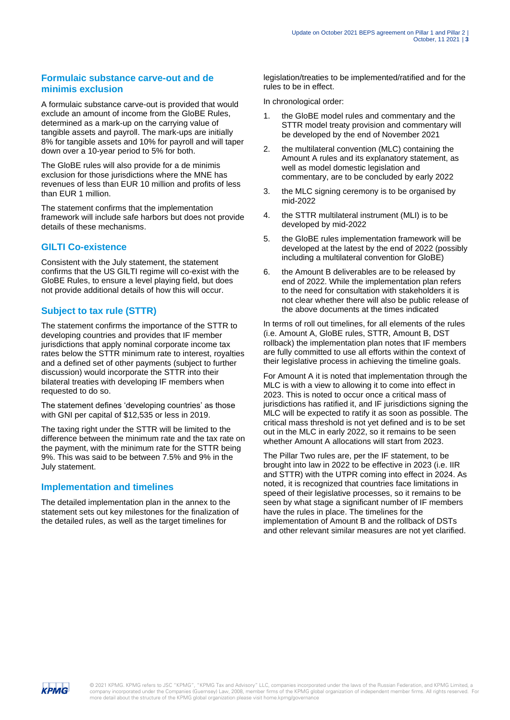#### **Formulaic substance carve-out and de minimis exclusion**

A formulaic substance carve-out is provided that would exclude an amount of income from the GloBE Rules, determined as a mark-up on the carrying value of tangible assets and payroll. The mark-ups are initially 8% for tangible assets and 10% for payroll and will taper down over a 10-year period to 5% for both.

The GloBE rules will also provide for a de minimis exclusion for those jurisdictions where the MNE has revenues of less than EUR 10 million and profits of less than EUR 1 million.

The statement confirms that the implementation framework will include safe harbors but does not provide details of these mechanisms.

#### **GILTI Co-existence**

Consistent with the July statement, the statement confirms that the US GILTI regime will co-exist with the GloBE Rules, to ensure a level playing field, but does not provide additional details of how this will occur.

#### **Subject to tax rule (STTR)**

The statement confirms the importance of the STTR to developing countries and provides that IF member jurisdictions that apply nominal corporate income tax rates below the STTR minimum rate to interest, royalties and a defined set of other payments (subject to further discussion) would incorporate the STTR into their bilateral treaties with developing IF members when requested to do so.

The statement defines 'developing countries' as those with GNI per capital of \$12,535 or less in 2019.

The taxing right under the STTR will be limited to the difference between the minimum rate and the tax rate on the payment, with the minimum rate for the STTR being 9%. This was said to be between 7.5% and 9% in the July statement.

#### **Implementation and timelines**

The detailed implementation plan in the annex to the statement sets out key milestones for the finalization of the detailed rules, as well as the target timelines for

legislation/treaties to be implemented/ratified and for the rules to be in effect.

In chronological order:

- 1. the GloBE model rules and commentary and the STTR model treaty provision and commentary will be developed by the end of November 2021
- 2. the multilateral convention (MLC) containing the Amount A rules and its explanatory statement, as well as model domestic legislation and commentary, are to be concluded by early 2022
- 3. the MLC signing ceremony is to be organised by mid-2022
- 4. the STTR multilateral instrument (MLI) is to be developed by mid-2022
- 5. the GloBE rules implementation framework will be developed at the latest by the end of 2022 (possibly including a multilateral convention for GloBE)
- 6. the Amount B deliverables are to be released by end of 2022. While the implementation plan refers to the need for consultation with stakeholders it is not clear whether there will also be public release of the above documents at the times indicated

In terms of roll out timelines, for all elements of the rules (i.e. Amount A, GloBE rules, STTR, Amount B, DST rollback) the implementation plan notes that IF members are fully committed to use all efforts within the context of their legislative process in achieving the timeline goals.

For Amount A it is noted that implementation through the MLC is with a view to allowing it to come into effect in 2023. This is noted to occur once a critical mass of jurisdictions has ratified it, and IF jurisdictions signing the MLC will be expected to ratify it as soon as possible. The critical mass threshold is not yet defined and is to be set out in the MLC in early 2022, so it remains to be seen whether Amount A allocations will start from 2023.

The Pillar Two rules are, per the IF statement, to be brought into law in 2022 to be effective in 2023 (i.e. IIR and STTR) with the UTPR coming into effect in 2024. As noted, it is recognized that countries face limitations in speed of their legislative processes, so it remains to be seen by what stage a significant number of IF members have the rules in place. The timelines for the implementation of Amount B and the rollback of DSTs and other relevant similar measures are not yet clarified.

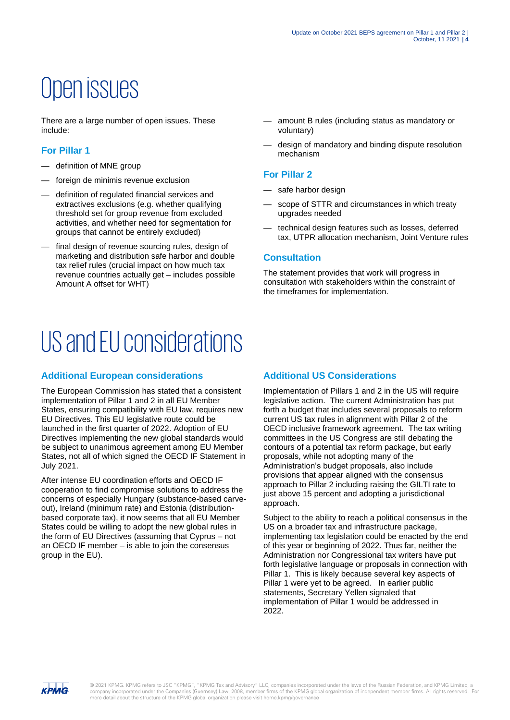## <span id="page-3-0"></span>Open issues

There are a large number of open issues. These include:

#### **For Pillar 1**

- definition of MNE group
- foreign de minimis revenue exclusion
- definition of regulated financial services and extractives exclusions (e.g. whether qualifying threshold set for group revenue from excluded activities, and whether need for segmentation for groups that cannot be entirely excluded)
- final design of revenue sourcing rules, design of marketing and distribution safe harbor and double tax relief rules (crucial impact on how much tax revenue countries actually get – includes possible Amount A offset for WHT)
- <span id="page-3-1"></span>US and EU considerations

#### **Additional European considerations**

The European Commission has stated that a consistent implementation of Pillar 1 and 2 in all EU Member States, ensuring compatibility with EU law, requires new EU Directives. This EU legislative route could be launched in the first quarter of 2022. Adoption of EU Directives implementing the new global standards would be subject to unanimous agreement among EU Member States, not all of which signed the OECD IF Statement in July 2021.

After intense EU coordination efforts and OECD IF cooperation to find compromise solutions to address the concerns of especially Hungary (substance-based carveout), Ireland (minimum rate) and Estonia (distributionbased corporate tax), it now seems that all EU Member States could be willing to adopt the new global rules in the form of EU Directives (assuming that Cyprus – not an OECD IF member – is able to join the consensus group in the EU).

- amount B rules (including status as mandatory or voluntary)
- design of mandatory and binding dispute resolution mechanism

#### **For Pillar 2**

- safe harbor design
- scope of STTR and circumstances in which treaty upgrades needed
- technical design features such as losses, deferred tax, UTPR allocation mechanism, Joint Venture rules

#### **Consultation**

The statement provides that work will progress in consultation with stakeholders within the constraint of the timeframes for implementation.

#### **Additional US Considerations**

Implementation of Pillars 1 and 2 in the US will require legislative action. The current Administration has put forth a budget that includes several proposals to reform current US tax rules in alignment with Pillar 2 of the OECD inclusive framework agreement. The tax writing committees in the US Congress are still debating the contours of a potential tax reform package, but early proposals, while not adopting many of the Administration's budget proposals, also include provisions that appear aligned with the consensus approach to Pillar 2 including raising the GILTI rate to just above 15 percent and adopting a jurisdictional approach.

Subject to the ability to reach a political consensus in the US on a broader tax and infrastructure package, implementing tax legislation could be enacted by the end of this year or beginning of 2022. Thus far, neither the Administration nor Congressional tax writers have put forth legislative language or proposals in connection with Pillar 1. This is likely because several key aspects of Pillar 1 were yet to be agreed. In earlier public statements, Secretary Yellen signaled that implementation of Pillar 1 would be addressed in 2022.

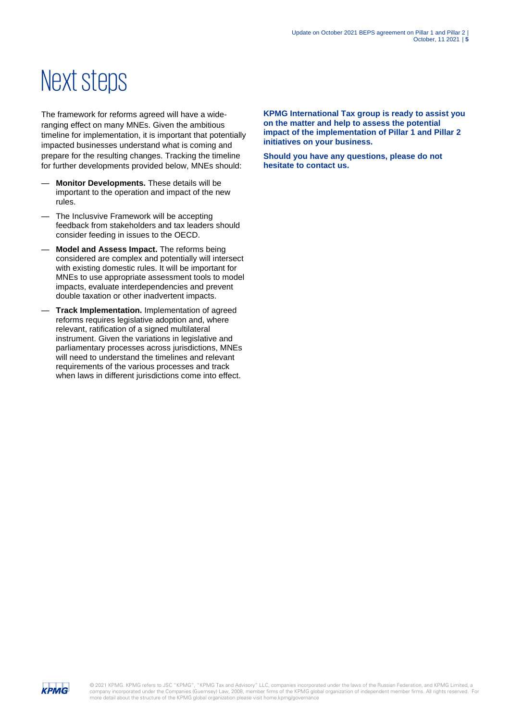## <span id="page-4-0"></span>Next steps

The framework for reforms agreed will have a wideranging effect on many MNEs. Given the ambitious timeline for implementation, it is important that potentially impacted businesses understand what is coming and prepare for the resulting changes. Tracking the timeline for further developments provided below, MNEs should:

- **Monitor Developments.** These details will be important to the operation and impact of the new rules.
- The Inclusvive Framework will be accepting feedback from stakeholders and tax leaders should consider feeding in issues to the OECD.
- **Model and Assess Impact.** The reforms being considered are complex and potentially will intersect with existing domestic rules. It will be important for MNEs to use appropriate assessment tools to model impacts, evaluate interdependencies and prevent double taxation or other inadvertent impacts.
- **Track Implementation.** Implementation of agreed reforms requires legislative adoption and, where relevant, ratification of a signed multilateral instrument. Given the variations in legislative and parliamentary processes across jurisdictions, MNEs will need to understand the timelines and relevant requirements of the various processes and track when laws in different jurisdictions come into effect.

**KPMG International Tax group is ready to assist you on the matter and help to assess the potential impact of the implementation of Pillar 1 and Pillar 2 initiatives on your business.**

**Should you have any questions, please do not hesitate to contact us.**